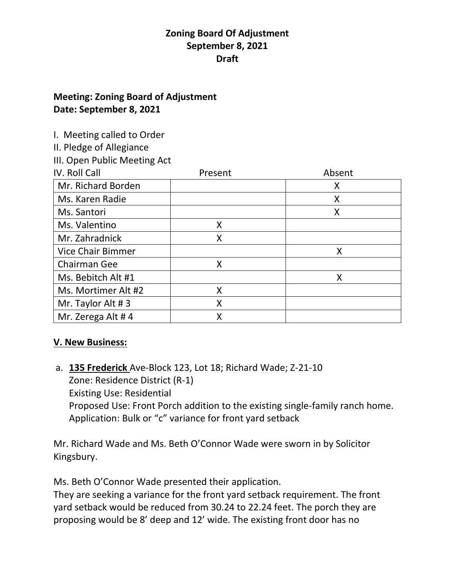## **Meeting: Zoning Board of Adjustment Date: September 8, 2021**

I. Meeting called to Order

II. Pledge of Allegiance

III. Open Public Meeting Act

| IV. Roll Call            | Present | Absent |
|--------------------------|---------|--------|
| Mr. Richard Borden       |         | X      |
| Ms. Karen Radie          |         | Χ      |
| Ms. Santori              |         | X      |
| Ms. Valentino            | X       |        |
| Mr. Zahradnick           | X       |        |
| <b>Vice Chair Bimmer</b> |         | Χ      |
| <b>Chairman Gee</b>      | Χ       |        |
| Ms. Bebitch Alt #1       |         | X      |
| Ms. Mortimer Alt #2      | X       |        |
| Mr. Taylor Alt #3        | X       |        |
| Mr. Zerega Alt #4        | Χ       |        |

## **V. New Business:**

a. **135 Frederick** Ave-Block 123, Lot 18; Richard Wade; Z-21-10 Zone: Residence District (R-1) Existing Use: Residential Proposed Use: Front Porch addition to the existing single-family ranch home. Application: Bulk or "c" variance for front yard setback

Mr. Richard Wade and Ms. Beth O'Connor Wade were sworn in by Solicitor Kingsbury.

Ms. Beth O'Connor Wade presented their application.

They are seeking a variance for the front yard setback requirement. The front yard setback would be reduced from 30.24 to 22.24 feet. The porch they are proposing would be 8' deep and 12' wide. The existing front door has no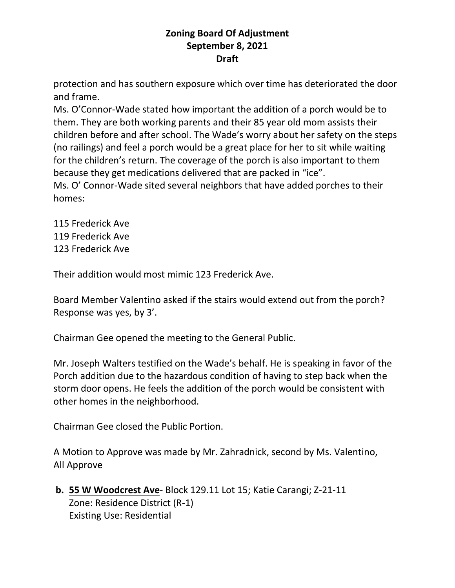protection and has southern exposure which over time has deteriorated the door and frame.

Ms. O'Connor-Wade stated how important the addition of a porch would be to them. They are both working parents and their 85 year old mom assists their children before and after school. The Wade's worry about her safety on the steps (no railings) and feel a porch would be a great place for her to sit while waiting for the children's return. The coverage of the porch is also important to them because they get medications delivered that are packed in "ice".

Ms. O' Connor-Wade sited several neighbors that have added porches to their homes:

115 Frederick Ave 119 Frederick Ave 123 Frederick Ave

Their addition would most mimic 123 Frederick Ave.

Board Member Valentino asked if the stairs would extend out from the porch? Response was yes, by 3'.

Chairman Gee opened the meeting to the General Public.

Mr. Joseph Walters testified on the Wade's behalf. He is speaking in favor of the Porch addition due to the hazardous condition of having to step back when the storm door opens. He feels the addition of the porch would be consistent with other homes in the neighborhood.

Chairman Gee closed the Public Portion.

A Motion to Approve was made by Mr. Zahradnick, second by Ms. Valentino, All Approve

**b. 55 W Woodcrest Ave**- Block 129.11 Lot 15; Katie Carangi; Z-21-11 Zone: Residence District (R-1) Existing Use: Residential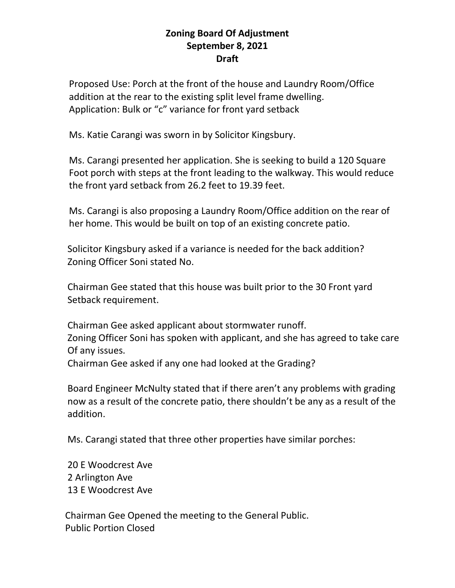Proposed Use: Porch at the front of the house and Laundry Room/Office addition at the rear to the existing split level frame dwelling. Application: Bulk or "c" variance for front yard setback

Ms. Katie Carangi was sworn in by Solicitor Kingsbury.

Ms. Carangi presented her application. She is seeking to build a 120 Square Foot porch with steps at the front leading to the walkway. This would reduce the front yard setback from 26.2 feet to 19.39 feet.

Ms. Carangi is also proposing a Laundry Room/Office addition on the rear of her home. This would be built on top of an existing concrete patio.

 Solicitor Kingsbury asked if a variance is needed for the back addition? Zoning Officer Soni stated No.

 Chairman Gee stated that this house was built prior to the 30 Front yard Setback requirement.

 Chairman Gee asked applicant about stormwater runoff. Zoning Officer Soni has spoken with applicant, and she has agreed to take care Of any issues.

Chairman Gee asked if any one had looked at the Grading?

 Board Engineer McNulty stated that if there aren't any problems with grading now as a result of the concrete patio, there shouldn't be any as a result of the addition.

Ms. Carangi stated that three other properties have similar porches:

 20 E Woodcrest Ave 2 Arlington Ave 13 E Woodcrest Ave

 Chairman Gee Opened the meeting to the General Public. Public Portion Closed